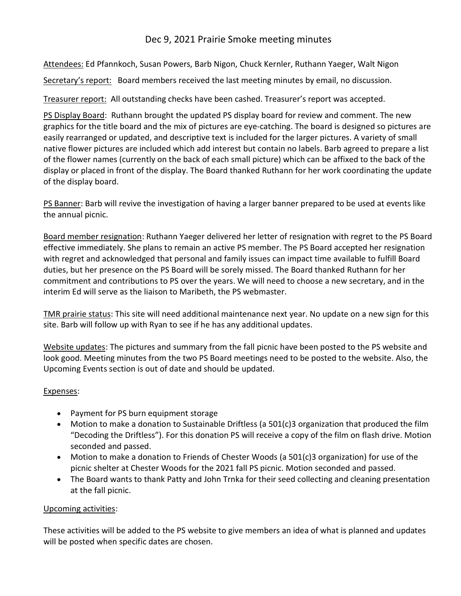## Dec 9, 2021 Prairie Smoke meeting minutes

Attendees: Ed Pfannkoch, Susan Powers, Barb Nigon, Chuck Kernler, Ruthann Yaeger, Walt Nigon

Secretary's report: Board members received the last meeting minutes by email, no discussion.

Treasurer report: All outstanding checks have been cashed. Treasurer's report was accepted.

PS Display Board: Ruthann brought the updated PS display board for review and comment. The new graphics for the title board and the mix of pictures are eye-catching. The board is designed so pictures are easily rearranged or updated, and descriptive text is included for the larger pictures. A variety of small native flower pictures are included which add interest but contain no labels. Barb agreed to prepare a list of the flower names (currently on the back of each small picture) which can be affixed to the back of the display or placed in front of the display. The Board thanked Ruthann for her work coordinating the update of the display board.

PS Banner: Barb will revive the investigation of having a larger banner prepared to be used at events like the annual picnic.

Board member resignation: Ruthann Yaeger delivered her letter of resignation with regret to the PS Board effective immediately. She plans to remain an active PS member. The PS Board accepted her resignation with regret and acknowledged that personal and family issues can impact time available to fulfill Board duties, but her presence on the PS Board will be sorely missed. The Board thanked Ruthann for her commitment and contributions to PS over the years. We will need to choose a new secretary, and in the interim Ed will serve as the liaison to Maribeth, the PS webmaster.

TMR prairie status: This site will need additional maintenance next year. No update on a new sign for this site. Barb will follow up with Ryan to see if he has any additional updates.

Website updates: The pictures and summary from the fall picnic have been posted to the PS website and look good. Meeting minutes from the two PS Board meetings need to be posted to the website. Also, the Upcoming Events section is out of date and should be updated.

## Expenses:

- Payment for PS burn equipment storage
- Motion to make a donation to Sustainable Driftless (a 501(c)3 organization that produced the film "Decoding the Driftless"). For this donation PS will receive a copy of the film on flash drive. Motion seconded and passed.
- Motion to make a donation to Friends of Chester Woods (a 501(c)3 organization) for use of the picnic shelter at Chester Woods for the 2021 fall PS picnic. Motion seconded and passed.
- The Board wants to thank Patty and John Trnka for their seed collecting and cleaning presentation at the fall picnic.

## Upcoming activities:

These activities will be added to the PS website to give members an idea of what is planned and updates will be posted when specific dates are chosen.